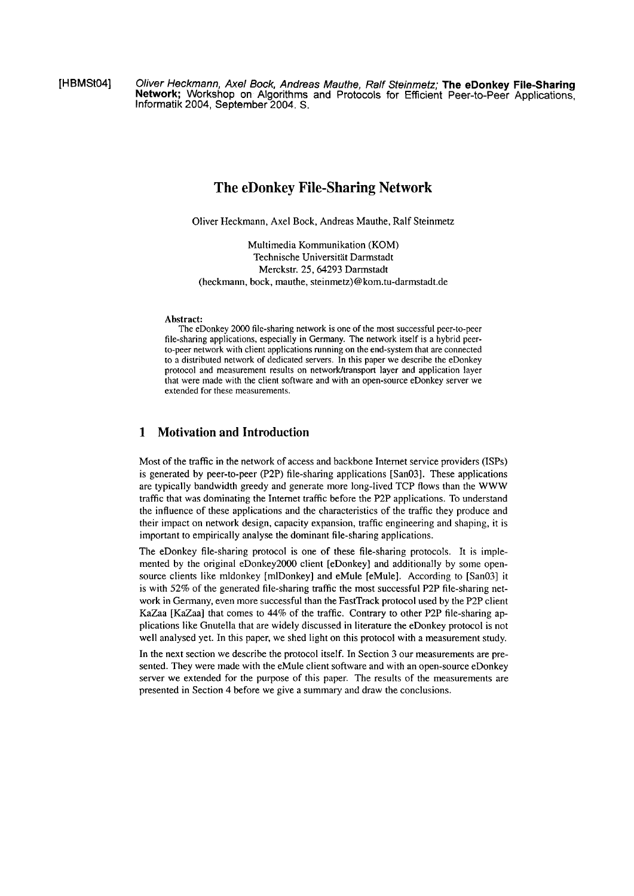[HBMSt04] Oliver Heckmann, Axel **Bock, Andreas** Mauthe, Ralf Steinmetz; **The eDonkey FileSharing Network;** Workshop on Algorithms and Protocols for Efficient Peer-to-Peer Applications, Informatik 2004, September 2004. S.

# **The eDonkey File-Sharing Network**

Oliver Heckmann, Axel Bock, Andreas Mauthe, Ralf Steinmetz

Multimedia Kommunikation (KOM) Technische Universität Darmstadt Merckstr. 25,64293 Darmstadt (heckmann, bock, mauthe, **steirimetz)@kom.tu-darmstadt.de** 

#### Abstract:

The eDonkey 2000 file-sharing network is one of the most successful peer-to-peer file-sharing applications, especially in Germany. The network itself is a hybrid peerto-peer network with client applications running on the end-system that are connected to a distributed network of dedicated servers. In this paper we describe the eDonkey protocol and measurement results on network/transport layer and application layer that were made with the clieni software and with an open-source eDonkey server we extended for these measurements.

# **1 Motivation and Introduction**

Most of the traffic in the network of access and backbone Internet service providers (ISPs) is generated by peer-to-peer (F2P) file-sharing applications [San03]. These applications are typically bandwidth greedy and generate more long-lived TCP flows than the WWW traffic that was dominating the Internet traffic before the P2P applications. To understand the influence of these applications and the characteristics of the traffic they produce and their impact on network design, capacity expansion, traffic engineering and shaping, it is important to empirically analyse the dominant file-sharing applications.

The eDonkey file-sharing protocol is one of these file-sharing protocols. It is implemented by the original eDonkey2000 client [eDonkey] and additionally by some opensource clients like mldonkey [mlDonkey] and eMule [eMule]. According to [San03] it is with  $52\%$  of the generated file-sharing traffic the most successful P2P file-sharing network in Germany, even more successful than the FastTrack protocol used by the P2P client KaZaa [KaZaa] that comes to 44% of the traffic. Contrary to other P2P file-sharing applications like Gnutella that are widely discussed in literature the eDonkey protocol is not well analysed yet. In this paper, we shed light on this protocol with a measurement study.

In the next section we describe the protocol itself. In Section 3 our measurements are presented. They were made with the eMule client software and with an open-source eDonkey server we extended for the purpose of this paper. The results of the measurements are preserited in Section 4 before we give a sumrnary arid draw the conclusions.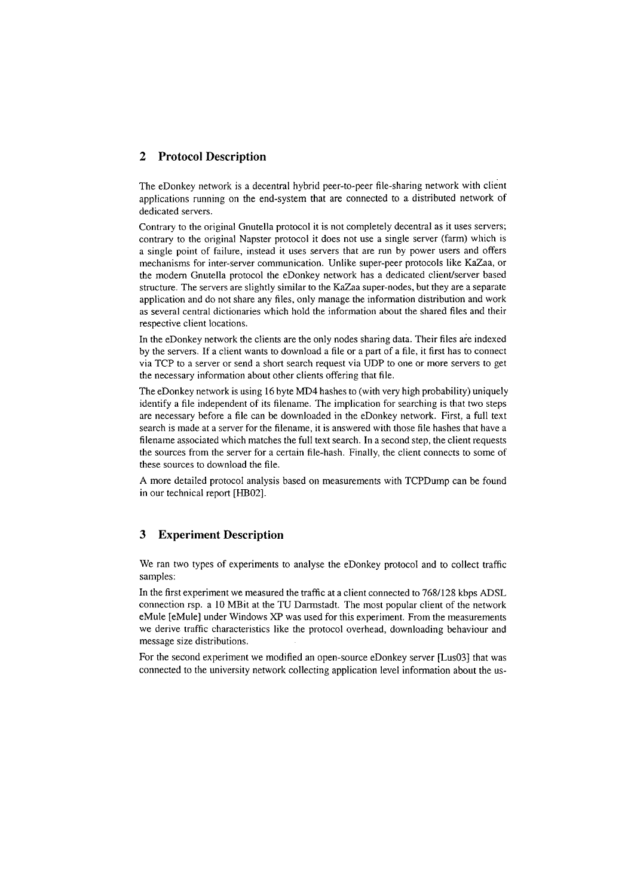# **2 Protocol Description**

The eDonkey network is a decentral hybrid peer-to-peer file-sharing network with client applications running on the end-system that are connected to a distributed network of dedicated servers.

Contrary to the original Gnutella protocol it is not completely decentral as it uses servers; contrary to the original Napster protocol it does not use a single server (farm) which is a single point of failure, instead it uses servers that are run by power users and offers mechanisms for inter-server communication. Unlike super-peer protocols like KaZaa, or the modern Gnutella protocol the eDonkey network has a dedicated client/server based structure. The servers are slightly similar to the KaZaa super-nodes, but they are a separate application and do not share any files, only manage the information distribution and work as several central dictionaries which hold the information about the shared files and their respective client locations.

In the eDonkey network the clients are the only nodes sharing data. Their files are indexed by the servers. If a client wants to download a file or a part of a file, it first has to connect via TCP to a server or send a short search request via UDP to one or inore servers to get the necessary information about other clients offering that file.

The eDonkey network is using 16 byte MD4 hashes to (with very high probability) uniquely identify a file independent of its filename. The implication for searching is that two steps are necessary before a file can be downloaded in the eDonkey network. First, a full text search is inade at a server for the filename, it is answered with those file hashes that have a filename associated which matches the full text search. In a second step, the client requests the sources from the server for a certain file-hash. Finally, the client connects to some of these sources to download the file.

**A** more detailed protocol analysis based oii measurements with TCPDump can be found in our technical report [HB02].

### **3 Experiment Description**

We ran two types of experiments to analyse the eDonkey protocol and to collect traffic samples:

In the first experiment we measured the traffic at a client connected to 7681128 kbps ADSL connection rsp. a 10 MBit at the TU Darmstadt. The most popular client of the network eMule [eMule] under Windows XP was used for this experiment. From the measurements we derive traffic characteristics like the protocol overhead, downloading behaviour and message size distributions.

For the second experiment we modified an open-source eDonkey server [Lus03] that was connected to the university network collecting application level information about the us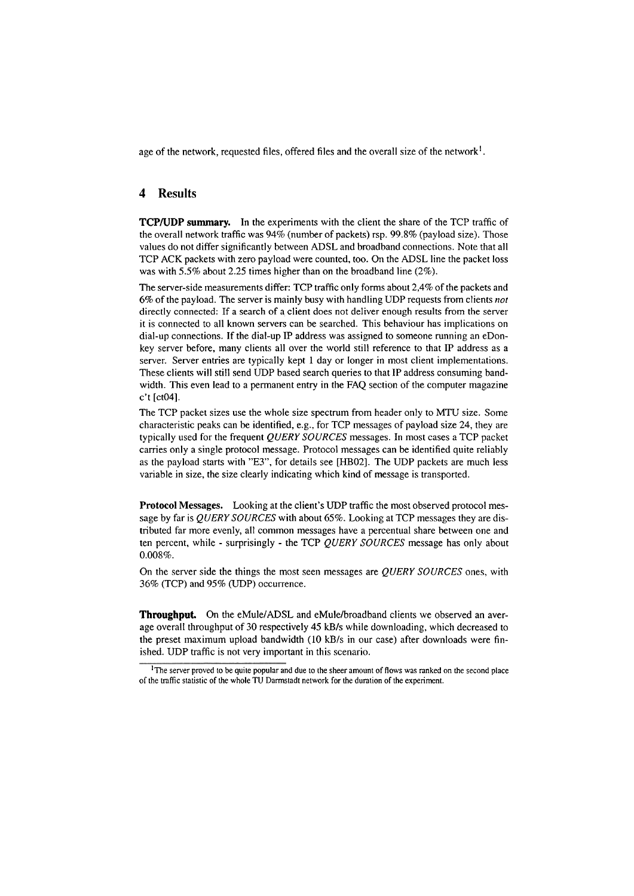age of the network, requested files, offered files and the overall size of the network<sup>1</sup>.

#### **4 Results**

**TCP/UDP summary.** In the experiments with the client the share of the TCP traffic of the overall network traffic was 94% (number of packets) rsp. 99.8% (payload size). Those values do not differ significantly between ADSL and broadband connections. Note that all TCP ACK packets with Zero payload were counted, too. On the ADSL line the packet loss was with 5.5% about 2.25 times higher than on the broadband line (2%).

The server-side measurements differ: TCP traffic only forms about 2,4% of the packets and *6%* of tlie payload. The server is rnainly busy with handling UDP requests from clients *not*  directly connected: If a search of a client does not deliver enough results from the server it is connected to all known servers can be searched. This behaviour has implications on dial-up connections. If the dial-up IP address was assigned to someone running an eDonkey server before, many clients all over the world still reference to that IP address as a server. Server entries are typically kept 1 day or longer in most client implementations. These clients will still send UDP based search queries to that IP address consuming bandwidth. This even lead to a permanent entry in the FAQ section of the computer magazine c't [ct04].

The TCP packet sizes use the whole size spectrum from header only to MTU size. Some characteristic peaks can be identified, e.g., for TCP messages of payload size 24, they are typically used for the frequent *QUERY SOURCES* messages. In most cases a TCP packet carries only a single protocol message. Protocol messages can be identified quite reliably as the payload starts with "E3", for details see [HB02]. The UDP packets are much less variable in size, the size clearly indicating which kind of message is transported.

**Protocol Messages.** Looking at the client's UDP traffic the most observed protocol message by far is *QUERY SOURCES* with about 65%. Looking at TCP messages they are distributed far more evenly, all common messages have a percentual share between one and ten percent, while - surprisingly - the TCP *QUERY SOURCES* message has only about 0.008%.

On the server side the things the most seen messages are *QUERY SOURCES* ones, with 36% (TCP) and 95% (UDP) occurrence.

**Throughput.** On the eMule/ADSL and eMule/broadband clients we observed an average overall throughput of 30 respectively 45 kB/s while downloading, which decreased to the preset maximum upload bandwidth (10 kB/s in our case) after downloads were finished. UDP traffic is not very important in this scenario.

<sup>&</sup>lt;sup>1</sup>The server proved to be quite popular and due to the sheer amount of flows was ranked on the second place of the **mffic** statistic of the whole TU Darmsiadt network for the duration of the expenment.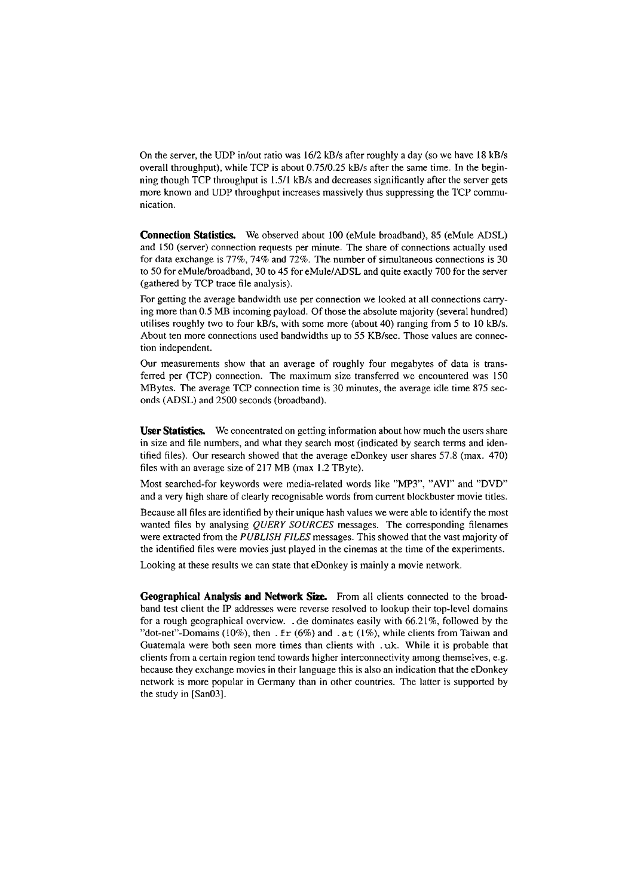On the server, the UDP in/out ratio was 16/2 kB/s after roughly a day (so we have 18 kB/s overall throughput), while TCP is about  $0.75/0.25$  kB/s after the same time. In the beginning though TCP throughput is 1.5/1 kB/s and decreases significantly after the server gets more known and UDP throughput increases massively thus suppressing the TCP communication.

**Connection Statistics.** We observed about 100 (eMule broadband), 85 (eMule ADSL) and 150 (server) connection requests per minute. The share of connections actually used for data exchange is 77%, 74% and 72%. The number of simultaneous connections is 30 to 50 for eMule/broadband, 30 to 45 for eMule/ADSL and quite exactly 700 for the server (gathered by TCP trace file analysis).

For getting the average bandwidth use per connection we looked at all connections carrying more than 0.5 MB incoming payload. Of those the absolute majority (several hundred) utilises roughly two to four kB/s, with some more (about 40) ranging from 5 to 10 kB/s. About ten more connections used bandwidths up to 55 KB/sec. Those values are connection independent.

Our measurements show that an average of roughly four megabytes of data is transferred per (TCP) connection. The maximum size transferred we encountered was 150 MBytes. The average TCP connection time is 30 minutes, the average idle time 875 seconds (ADSL) and 2500 seconds (broadband).

**User Statistics.** We concentrated on getting information about how much the users share in size and file numbers, and what they search most (indicated by search terms and identified files). Our research showed that the average eDonkey user shares 57.8 (max. 470) files with an average size of 217 MB (max 1.2 TByte).

Most searched-for keywords were inedia-related words like "MP3", "AVI" and "DVD" and a very high share of clearly recognisable words from current blockbuster movie titles.

Because all files are identified by their unique hash values we were able to identify the most wanted files by analysing *QUERY SOURCES* messages. The corresponding filenames were extracted from the PUBLISH FILES messages. This showed that the vast majority of the identified files were movies just played in the cinernas at the time of the experiments.

Looking at these results we can state that eDonkey is mainly a movie network.

Geographical Analysis and Network Size. From all clients connected to the broadband test client the IP addresses were reverse resolved to lookup their top-level domains for a rough geographical overview. . de dominates easily with 66.21%, followed by the "dot-net"-Domains (10%), then . f  $r$  (6%) and . at (1%), while clients from Taiwan and Guatemala were both seen more times than clients with . uk. While it is probable that clients from a certain region tend towards higher interconnectivity among themselves, e.g. because they exchange movies in their language this is also an indication that the eDonkey network is more popular in Germany than in other countries. The latter is supported by the study in [San03].